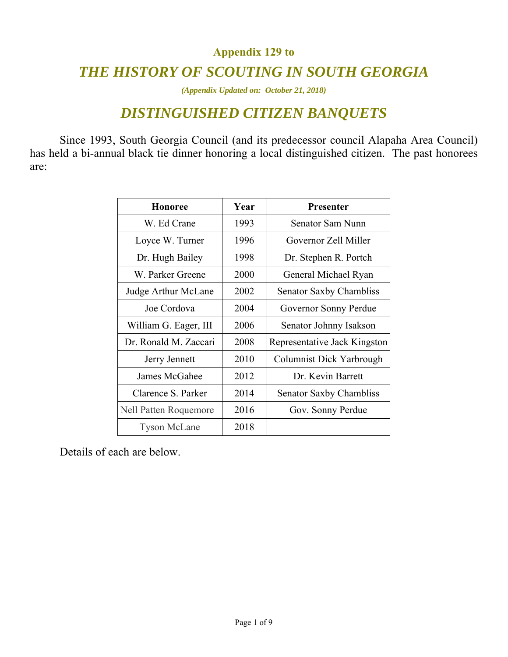#### **Appendix 129 to**

#### *THE HISTORY OF SCOUTING IN SOUTH GEORGIA*

*(Appendix Updated on: October 21, 2018)* 

#### *DISTINGUISHED CITIZEN BANQUETS*

Since 1993, South Georgia Council (and its predecessor council Alapaha Area Council) has held a bi-annual black tie dinner honoring a local distinguished citizen. The past honorees are:

| <b>Honoree</b>               | Year | <b>Presenter</b>               |
|------------------------------|------|--------------------------------|
| W. Ed Crane                  | 1993 | Senator Sam Nunn               |
| Loyce W. Turner              | 1996 | Governor Zell Miller           |
| Dr. Hugh Bailey              | 1998 | Dr. Stephen R. Portch          |
| W. Parker Greene             | 2000 | General Michael Ryan           |
| Judge Arthur McLane          | 2002 | <b>Senator Saxby Chambliss</b> |
| Joe Cordova                  | 2004 | Governor Sonny Perdue          |
| William G. Eager, III        | 2006 | Senator Johnny Isakson         |
| Dr. Ronald M. Zaccari        | 2008 | Representative Jack Kingston   |
| Jerry Jennett                | 2010 | Columnist Dick Yarbrough       |
| James McGahee                | 2012 | Dr. Kevin Barrett              |
| Clarence S. Parker           | 2014 | Senator Saxby Chambliss        |
| <b>Nell Patten Roquemore</b> | 2016 | Gov. Sonny Perdue              |
| <b>Tyson McLane</b>          | 2018 |                                |

Details of each are below.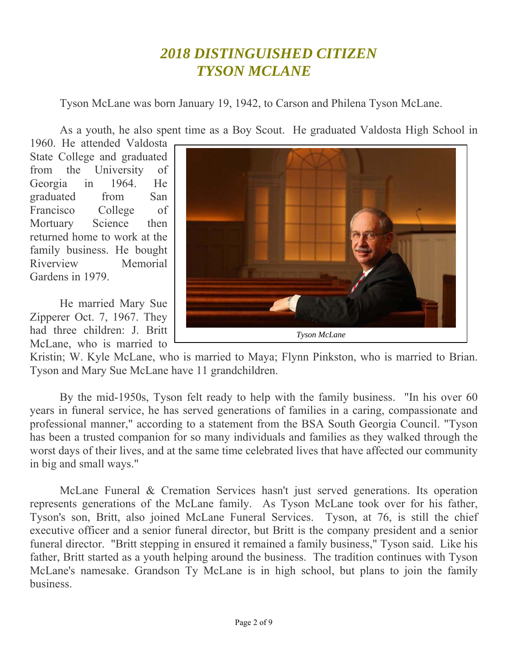## *2018 DISTINGUISHED CITIZEN TYSON MCLANE*

Tyson McLane was born January 19, 1942, to Carson and Philena Tyson McLane.

As a youth, he also spent time as a Boy Scout. He graduated Valdosta High School in

1960. He attended Valdosta State College and graduated from the University of Georgia in 1964. He graduated from San Francisco College of Mortuary Science then returned home to work at the family business. He bought Riverview Memorial Gardens in 1979.

He married Mary Sue Zipperer Oct. 7, 1967. They had three children: J. Britt McLane, who is married to



Kristin; W. Kyle McLane, who is married to Maya; Flynn Pinkston, who is married to Brian. Tyson and Mary Sue McLane have 11 grandchildren.

By the mid-1950s, Tyson felt ready to help with the family business. "In his over 60 years in funeral service, he has served generations of families in a caring, compassionate and professional manner," according to a statement from the BSA South Georgia Council. "Tyson has been a trusted companion for so many individuals and families as they walked through the worst days of their lives, and at the same time celebrated lives that have affected our community in big and small ways."

McLane Funeral & Cremation Services hasn't just served generations. Its operation represents generations of the McLane family. As Tyson McLane took over for his father, Tyson's son, Britt, also joined McLane Funeral Services. Tyson, at 76, is still the chief executive officer and a senior funeral director, but Britt is the company president and a senior funeral director. "Britt stepping in ensured it remained a family business," Tyson said. Like his father, Britt started as a youth helping around the business. The tradition continues with Tyson McLane's namesake. Grandson Ty McLane is in high school, but plans to join the family business.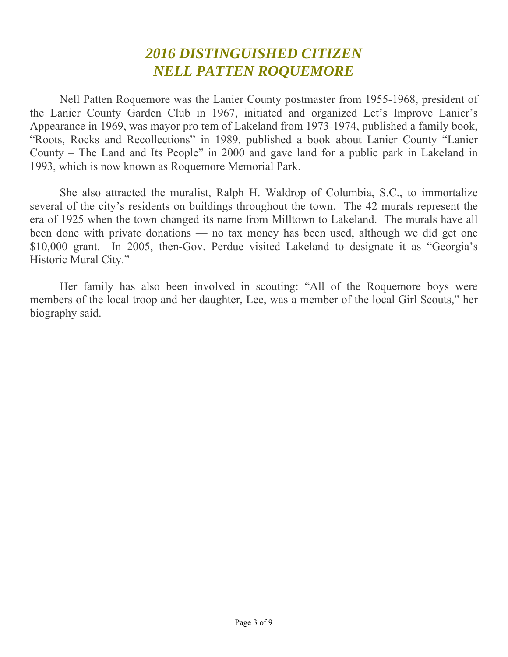# *2016 DISTINGUISHED CITIZEN NELL PATTEN ROQUEMORE*

Nell Patten Roquemore was the Lanier County postmaster from 1955-1968, president of the Lanier County Garden Club in 1967, initiated and organized Let's Improve Lanier's Appearance in 1969, was mayor pro tem of Lakeland from 1973-1974, published a family book, "Roots, Rocks and Recollections" in 1989, published a book about Lanier County "Lanier County – The Land and Its People" in 2000 and gave land for a public park in Lakeland in 1993, which is now known as Roquemore Memorial Park.

She also attracted the muralist, Ralph H. Waldrop of Columbia, S.C., to immortalize several of the city's residents on buildings throughout the town. The 42 murals represent the era of 1925 when the town changed its name from Milltown to Lakeland. The murals have all been done with private donations — no tax money has been used, although we did get one \$10,000 grant. In 2005, then-Gov. Perdue visited Lakeland to designate it as "Georgia's Historic Mural City."

Her family has also been involved in scouting: "All of the Roquemore boys were members of the local troop and her daughter, Lee, was a member of the local Girl Scouts," her biography said.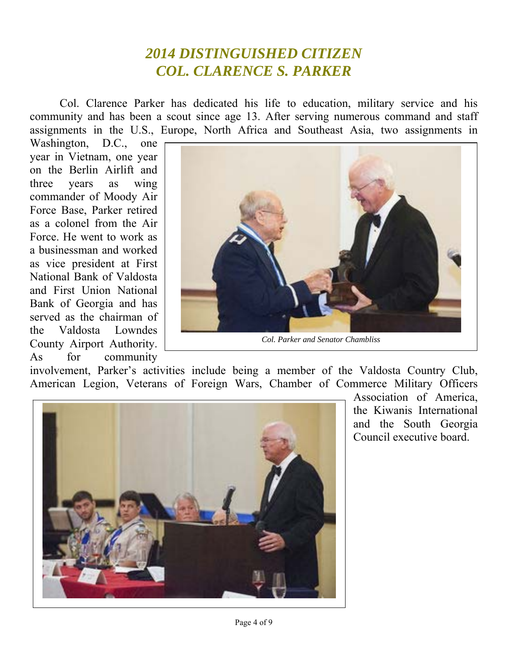# *2014 DISTINGUISHED CITIZEN COL. CLARENCE S. PARKER*

Col. Clarence Parker has dedicated his life to education, military service and his community and has been a scout since age 13. After serving numerous command and staff assignments in the U.S., Europe, North Africa and Southeast Asia, two assignments in

Washington, D.C., one year in Vietnam, one year on the Berlin Airlift and three years as wing commander of Moody Air Force Base, Parker retired as a colonel from the Air Force. He went to work as a businessman and worked as vice president at First National Bank of Valdosta and First Union National Bank of Georgia and has served as the chairman of the Valdosta Lowndes County Airport Authority. As for community



*Col. Parker and Senator Chambliss* 

involvement, Parker's activities include being a member of the Valdosta Country Club, American Legion, Veterans of Foreign Wars, Chamber of Commerce Military Officers



Association of America, the Kiwanis International and the South Georgia Council executive board.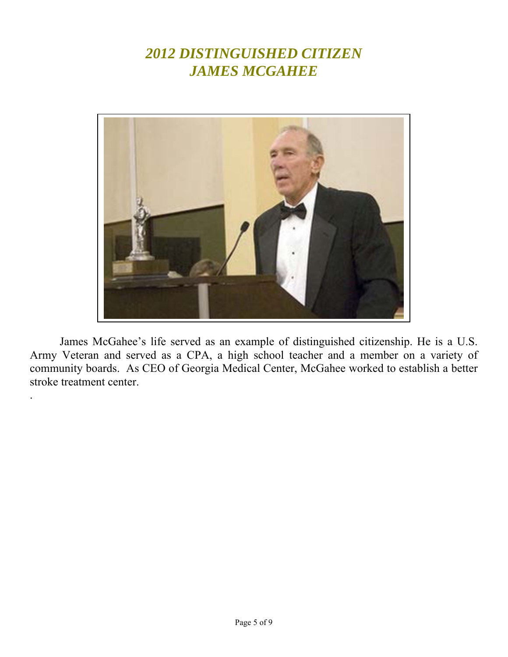## *2012 DISTINGUISHED CITIZEN JAMES MCGAHEE*



James McGahee's life served as an example of distinguished citizenship. He is a U.S. Army Veteran and served as a CPA, a high school teacher and a member on a variety of community boards. As CEO of Georgia Medical Center, McGahee worked to establish a better stroke treatment center.

.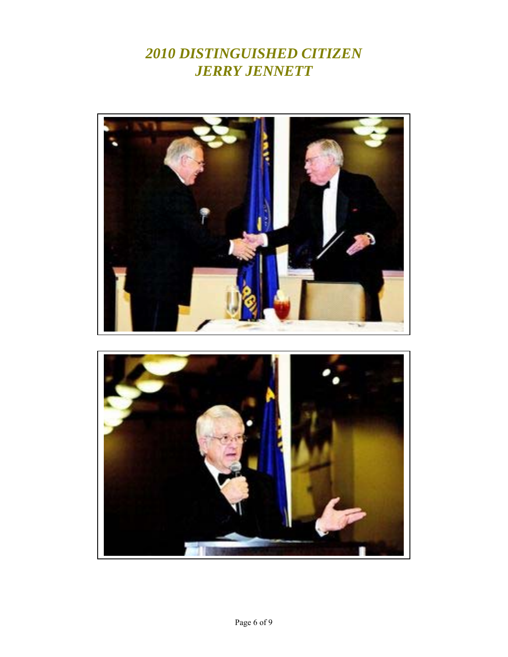# *2010 DISTINGUISHED CITIZEN JERRY JENNETT*



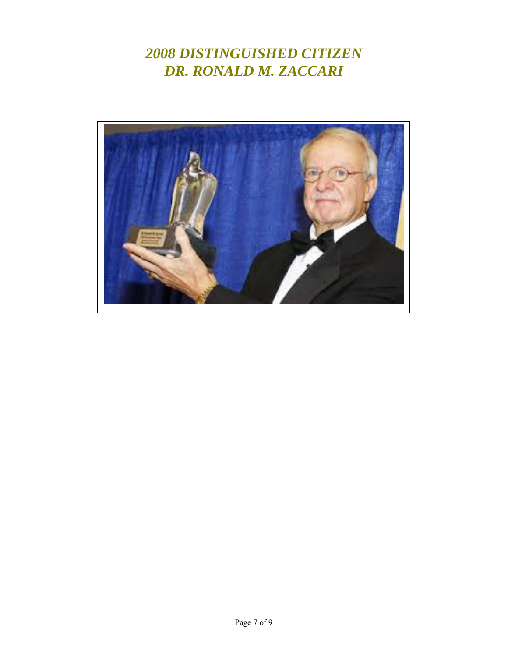# *2008 DISTINGUISHED CITIZEN DR. RONALD M. ZACCARI*

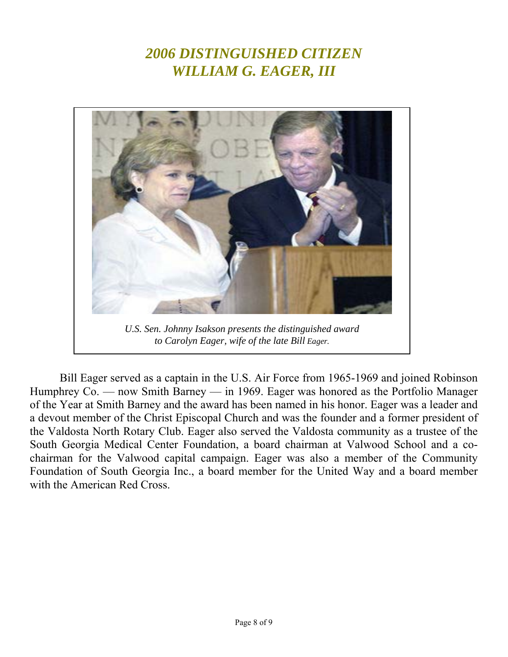# *2006 DISTINGUISHED CITIZEN WILLIAM G. EAGER, III*



*U.S. Sen. Johnny Isakson presents the distinguished award to Carolyn Eager, wife of the late Bill Eager.* 

Bill Eager served as a captain in the U.S. Air Force from 1965-1969 and joined Robinson Humphrey Co. — now Smith Barney — in 1969. Eager was honored as the Portfolio Manager of the Year at Smith Barney and the award has been named in his honor. Eager was a leader and a devout member of the Christ Episcopal Church and was the founder and a former president of the Valdosta North Rotary Club. Eager also served the Valdosta community as a trustee of the South Georgia Medical Center Foundation, a board chairman at Valwood School and a cochairman for the Valwood capital campaign. Eager was also a member of the Community Foundation of South Georgia Inc., a board member for the United Way and a board member with the American Red Cross.